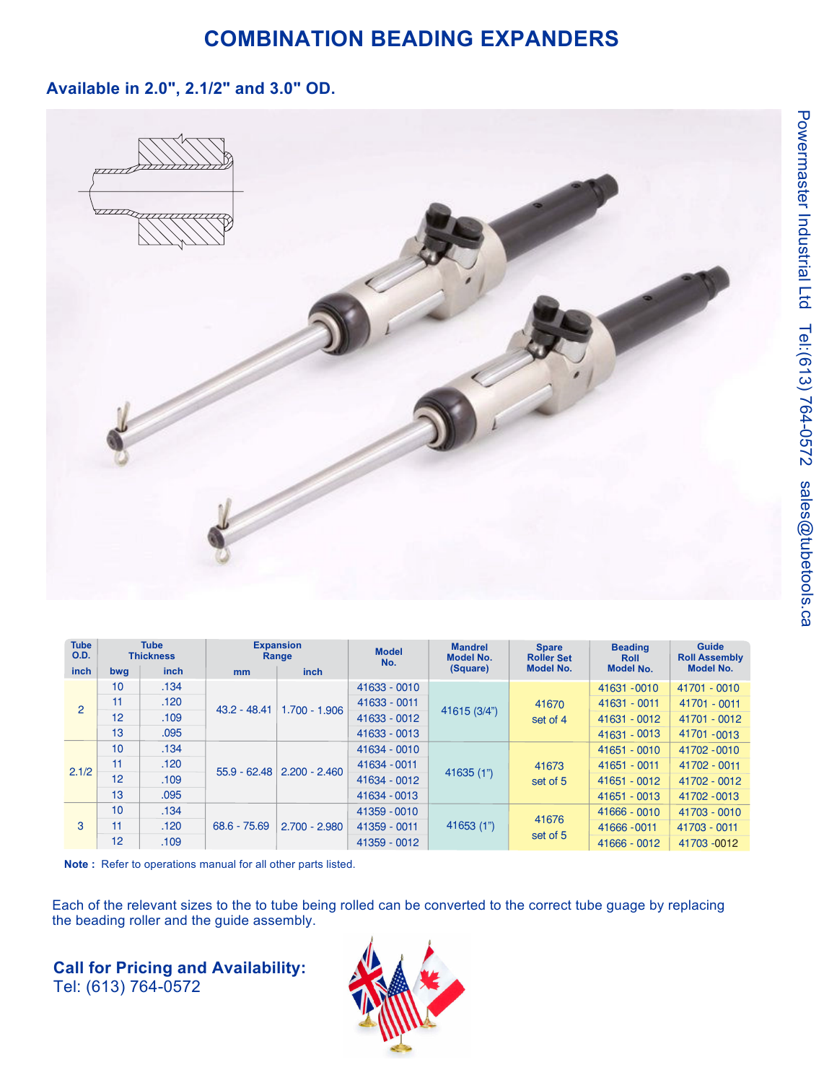### **COMBINATION BEADING EXPANDERS**

### **Available in 2.0", 2.1/2" and 3.0" OD.**



| <b>Tube</b><br><b>O.D.</b> | <b>Tube</b><br><b>Thickness</b> |             | <b>Expansion</b><br>Range |                 | <b>Model</b><br>No. | <b>Mandrel</b><br><b>Model No.</b> | <b>Spare</b><br><b>Roller Set</b> | <b>Beading</b><br><b>Roll</b> | <b>Guide</b><br><b>Roll Assembly</b> |  |
|----------------------------|---------------------------------|-------------|---------------------------|-----------------|---------------------|------------------------------------|-----------------------------------|-------------------------------|--------------------------------------|--|
| inch                       | bwg                             | <i>inch</i> | mm                        | <i>inch</i>     |                     | (Square)                           | <b>Model No.</b>                  | <b>Model No.</b>              | <b>Model No.</b>                     |  |
| 2                          | 10                              | .134        | $43.2 - 48.41$            | $1.700 - 1.906$ | 41633 - 0010        | 41615 (3/4")                       |                                   | 41631 - 0010                  | 41701 - 0010                         |  |
|                            | 11                              | .120        |                           |                 | 41633 - 0011        |                                    | 41670<br>set of 4                 | 41631 - 0011                  | 41701 - 0011                         |  |
|                            | 12                              | .109        |                           |                 | 41633 - 0012        |                                    |                                   | 41631 - 0012                  | 41701 - 0012                         |  |
|                            | 13                              | .095        |                           |                 | 41633 - 0013        |                                    |                                   | $41631 - 0013$                | 41701 - 0013                         |  |
| 2.1/2                      | 10 <sup>1</sup>                 | .134        | $55.9 - 62.48$            | $2.200 - 2.460$ | 41634 - 0010        | 41635 (1")                         | 41673<br>set of 5                 | $41651 - 0010$                | 41702 - 0010                         |  |
|                            | 11                              | .120        |                           |                 | 41634 - 0011        |                                    |                                   | 41651 - 0011                  | 41702 - 0011                         |  |
|                            | 12                              | .109        |                           |                 | 41634 - 0012        |                                    |                                   | $41651 - 0012$                | 41702 - 0012                         |  |
|                            | 13                              | .095        |                           |                 | 41634 - 0013        |                                    |                                   | $41651 - 0013$                | 41702 - 0013                         |  |
| 3                          | 10                              | .134        | $68.6 - 75.69$            | $2.700 - 2.980$ | 41359 - 0010        | 41653(1")                          | 41676<br>set of 5                 | 41666 - 0010                  | 41703 - 0010                         |  |
|                            | 11                              | .120        |                           |                 | 41359 - 0011        |                                    |                                   | 41666 - 0011                  | 41703 - 0011                         |  |
|                            | 12                              | .109        |                           |                 | 41359 - 0012        |                                    |                                   | 41666 - 0012                  | 41703 - 0012                         |  |

**Note :** Refer to operations manual for all other parts listed.

Each of the relevant sizes to the to tube being rolled can be converted to the correct tube guage by replacing the beading roller and the guide assembly.

**Call for Pricing and Availability:**Tel: (613) 764-0572

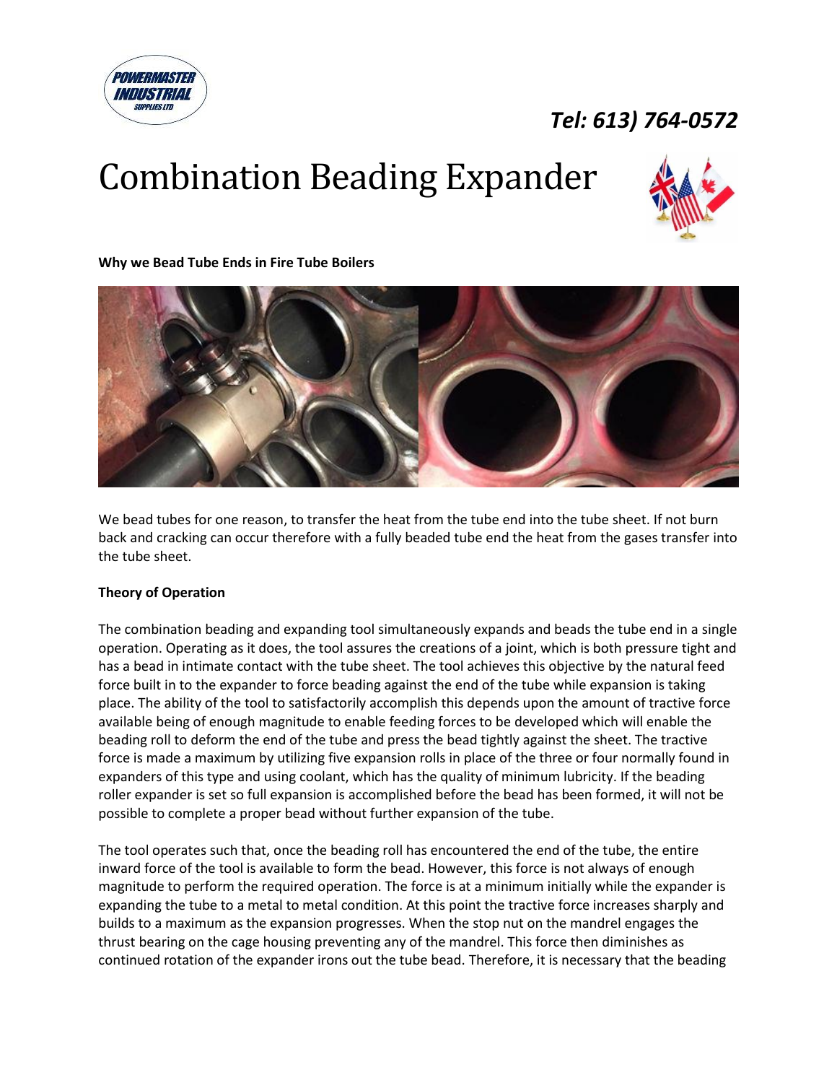



**Why we Bead Tube Ends in Fire Tube Boilers**



We bead tubes for one reason, to transfer the heat from the tube end into the tube sheet. If not burn back and cracking can occur therefore with a fully beaded tube end the heat from the gases transfer into the tube sheet.

#### **Theory of Operation**

**POWERMASTER** *INDUSTRIAL* 

The combination beading and expanding tool simultaneously expands and beads the tube end in a single operation. Operating as it does, the tool assures the creations of a joint, which is both pressure tight and has a bead in intimate contact with the tube sheet. The tool achieves this objective by the natural feed force built in to the expander to force beading against the end of the tube while expansion is taking place. The ability of the tool to satisfactorily accomplish this depends upon the amount of tractive force available being of enough magnitude to enable feeding forces to be developed which will enable the beading roll to deform the end of the tube and press the bead tightly against the sheet. The tractive force is made a maximum by utilizing five expansion rolls in place of the three or four normally found in expanders of this type and using coolant, which has the quality of minimum lubricity. If the beading roller expander is set so full expansion is accomplished before the bead has been formed, it will not be possible to complete a proper bead without further expansion of the tube.

The tool operates such that, once the beading roll has encountered the end of the tube, the entire inward force of the tool is available to form the bead. However, this force is not always of enough magnitude to perform the required operation. The force is at a minimum initially while the expander is expanding the tube to a metal to metal condition. At this point the tractive force increases sharply and builds to a maximum as the expansion progresses. When the stop nut on the mandrel engages the thrust bearing on the cage housing preventing any of the mandrel. This force then diminishes as continued rotation of the expander irons out the tube bead. Therefore, it is necessary that the beading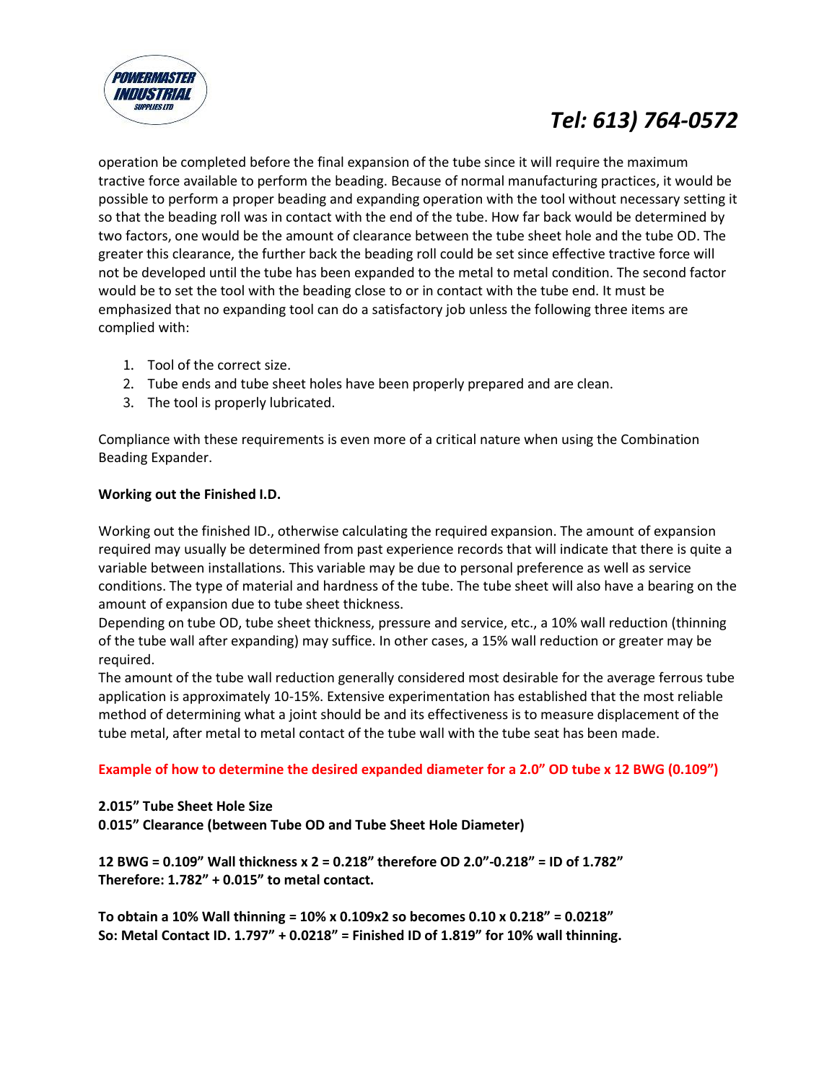

operation be completed before the final expansion of the tube since it will require the maximum tractive force available to perform the beading. Because of normal manufacturing practices, it would be possible to perform a proper beading and expanding operation with the tool without necessary setting it so that the beading roll was in contact with the end of the tube. How far back would be determined by two factors, one would be the amount of clearance between the tube sheet hole and the tube OD. The greater this clearance, the further back the beading roll could be set since effective tractive force will not be developed until the tube has been expanded to the metal to metal condition. The second factor would be to set the tool with the beading close to or in contact with the tube end. It must be emphasized that no expanding tool can do a satisfactory job unless the following three items are complied with:

- 1. Tool of the correct size.
- 2. Tube ends and tube sheet holes have been properly prepared and are clean.
- 3. The tool is properly lubricated.

Compliance with these requirements is even more of a critical nature when using the Combination Beading Expander.

#### **Working out the Finished I.D.**

Working out the finished ID., otherwise calculating the required expansion. The amount of expansion required may usually be determined from past experience records that will indicate that there is quite a variable between installations. This variable may be due to personal preference as well as service conditions. The type of material and hardness of the tube. The tube sheet will also have a bearing on the amount of expansion due to tube sheet thickness.

Depending on tube OD, tube sheet thickness, pressure and service, etc., a 10% wall reduction (thinning of the tube wall after expanding) may suffice. In other cases, a 15% wall reduction or greater may be required.

The amount of the tube wall reduction generally considered most desirable for the average ferrous tube application is approximately 10-15%. Extensive experimentation has established that the most reliable method of determining what a joint should be and its effectiveness is to measure displacement of the tube metal, after metal to metal contact of the tube wall with the tube seat has been made.

#### **Example of how to determine the desired expanded diameter for a 2.0" OD tube x 12 BWG (0.109")**

#### **2.015" Tube Sheet Hole Size**

**0**.**015" Clearance (between Tube OD and Tube Sheet Hole Diameter)**

**12 BWG = 0.109" Wall thickness x 2 = 0.218" therefore OD 2.0"-0.218" = ID of 1.782" Therefore: 1.782" + 0.015" to metal contact.**

**To obtain a 10% Wall thinning = 10% x 0.109x2 so becomes 0.10 x 0.218" = 0.0218" So: Metal Contact ID. 1.797" + 0.0218" = Finished ID of 1.819" for 10% wall thinning.**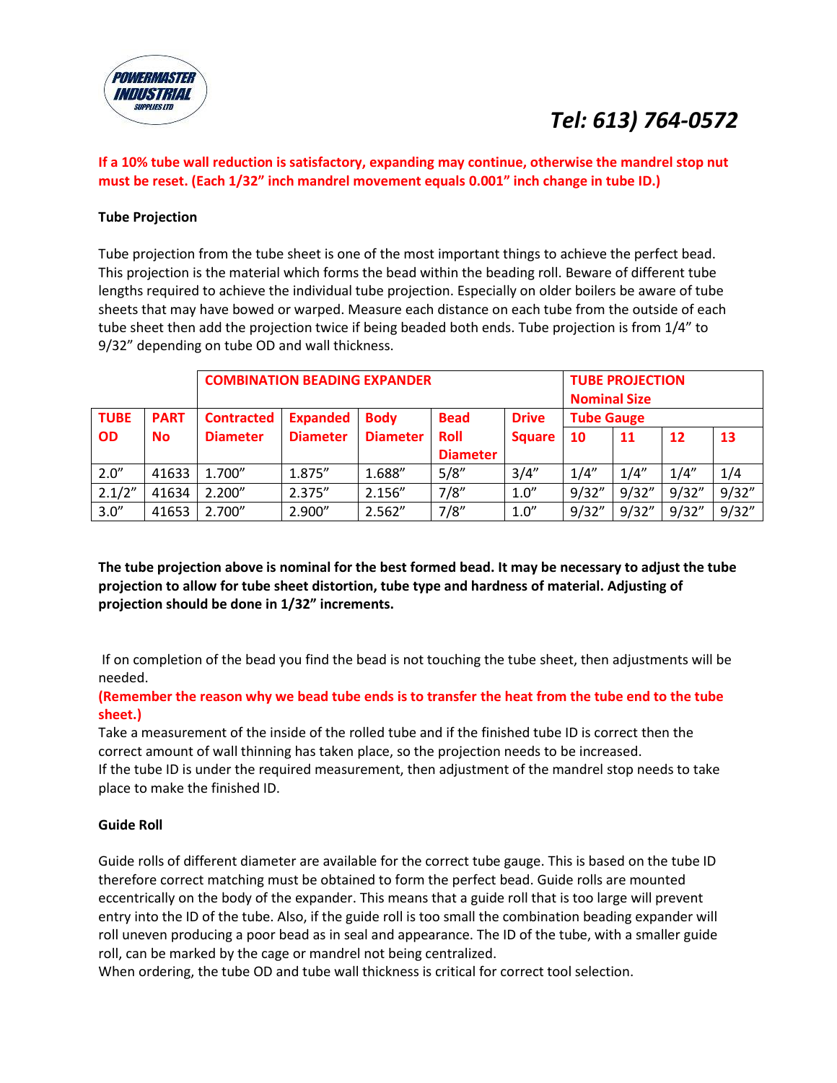

#### **If a 10% tube wall reduction is satisfactory, expanding may continue, otherwise the mandrel stop nut must be reset. (Each 1/32" inch mandrel movement equals 0.001" inch change in tube ID.)**

#### **Tube Projection**

Tube projection from the tube sheet is one of the most important things to achieve the perfect bead. This projection is the material which forms the bead within the beading roll. Beware of different tube lengths required to achieve the individual tube projection. Especially on older boilers be aware of tube sheets that may have bowed or warped. Measure each distance on each tube from the outside of each tube sheet then add the projection twice if being beaded both ends. Tube projection is from 1/4" to 9/32" depending on tube OD and wall thickness.

|             |             | <b>COMBINATION BEADING EXPANDER</b> |                 |                 |                 |               |                   | <b>TUBE PROJECTION</b><br><b>Nominal Size</b> |       |        |  |
|-------------|-------------|-------------------------------------|-----------------|-----------------|-----------------|---------------|-------------------|-----------------------------------------------|-------|--------|--|
| <b>TUBE</b> | <b>PART</b> | <b>Contracted</b>                   | <b>Expanded</b> | <b>Body</b>     | <b>Bead</b>     | <b>Drive</b>  | <b>Tube Gauge</b> |                                               |       |        |  |
| <b>OD</b>   | <b>No</b>   | <b>Diameter</b>                     | <b>Diameter</b> | <b>Diameter</b> | <b>Roll</b>     | <b>Square</b> | 10                | 11                                            | 12    | 13     |  |
|             |             |                                     |                 |                 | <b>Diameter</b> |               |                   |                                               |       |        |  |
| 2.0''       | 41633       | 1.700"                              | 1.875"          | 1.688"          | 5/8''           | 3/4''         | 1/4''             | 1/4''                                         | 1/4'' | 1/4    |  |
| 2.1/2"      | 41634       | 2.200''                             | 2.375"          | 2.156"          | 7/8''           | 1.0''         | 9/32"             | 9/32"                                         | 9/32" | 9/32'' |  |
| 3.0''       | 41653       | 2.700"                              | 2.900"          | 2.562"          | 7/8"            | 1.0''         | 9/32"             | 9/32"                                         | 9/32" | 9/32"  |  |

**The tube projection above is nominal for the best formed bead. It may be necessary to adjust the tube projection to allow for tube sheet distortion, tube type and hardness of material. Adjusting of projection should be done in 1/32" increments.** 

If on completion of the bead you find the bead is not touching the tube sheet, then adjustments will be needed.

#### **(Remember the reason why we bead tube ends is to transfer the heat from the tube end to the tube sheet.)**

Take a measurement of the inside of the rolled tube and if the finished tube ID is correct then the correct amount of wall thinning has taken place, so the projection needs to be increased. If the tube ID is under the required measurement, then adjustment of the mandrel stop needs to take place to make the finished ID.

#### **Guide Roll**

Guide rolls of different diameter are available for the correct tube gauge. This is based on the tube ID therefore correct matching must be obtained to form the perfect bead. Guide rolls are mounted eccentrically on the body of the expander. This means that a guide roll that is too large will prevent entry into the ID of the tube. Also, if the guide roll is too small the combination beading expander will roll uneven producing a poor bead as in seal and appearance. The ID of the tube, with a smaller guide roll, can be marked by the cage or mandrel not being centralized.

When ordering, the tube OD and tube wall thickness is critical for correct tool selection.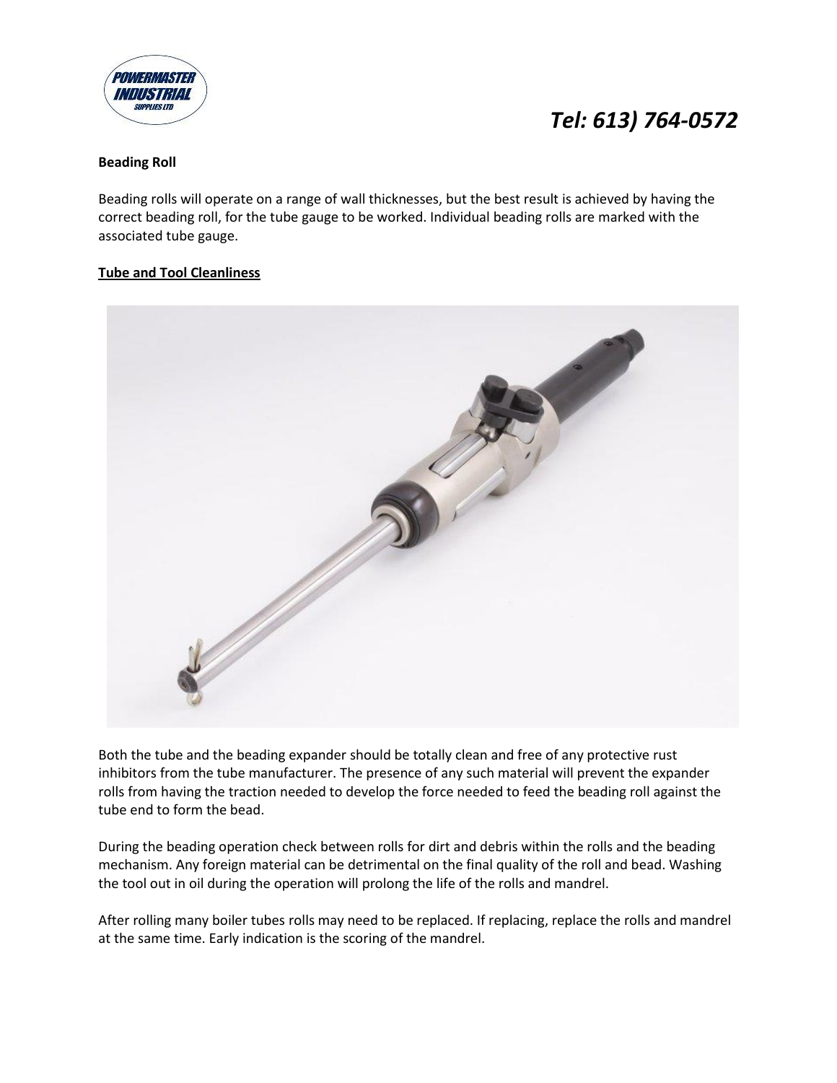

#### **Beading Roll**

Beading rolls will operate on a range of wall thicknesses, but the best result is achieved by having the correct beading roll, for the tube gauge to be worked. Individual beading rolls are marked with the associated tube gauge.

#### **Tube and Tool Cleanliness**



Both the tube and the beading expander should be totally clean and free of any protective rust inhibitors from the tube manufacturer. The presence of any such material will prevent the expander rolls from having the traction needed to develop the force needed to feed the beading roll against the tube end to form the bead.

During the beading operation check between rolls for dirt and debris within the rolls and the beading mechanism. Any foreign material can be detrimental on the final quality of the roll and bead. Washing the tool out in oil during the operation will prolong the life of the rolls and mandrel.

After rolling many boiler tubes rolls may need to be replaced. If replacing, replace the rolls and mandrel at the same time. Early indication is the scoring of the mandrel.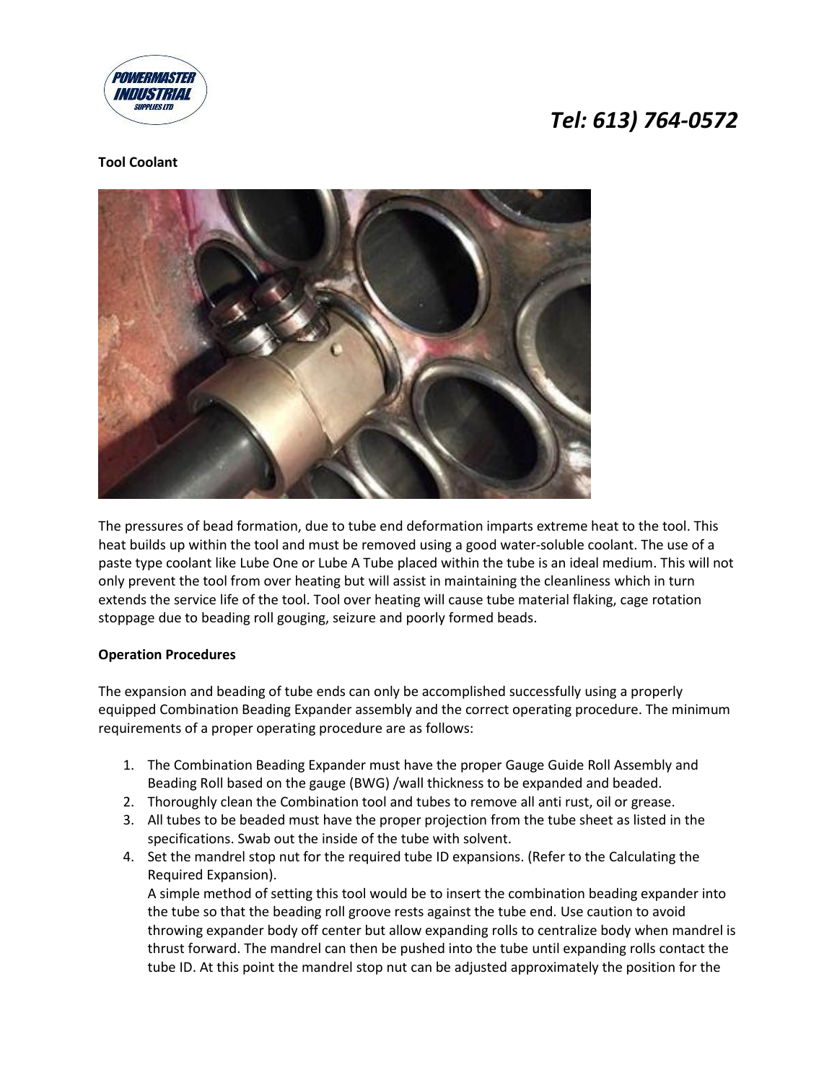

#### **Tool Coolant**



The pressures of bead formation, due to tube end deformation imparts extreme heat to the tool. This heat builds up within the tool and must be removed using a good water-soluble coolant. The use of a paste type coolant like Lube One or Lube A Tube placed within the tube is an ideal medium. This will not only prevent the tool from over heating but will assist in maintaining the cleanliness which in turn extends the service life of the tool. Tool over heating will cause tube material flaking, cage rotation stoppage due to beading roll gouging, seizure and poorly formed beads.

#### **Operation Procedures**

The expansion and beading of tube ends can only be accomplished successfully using a properly equipped Combination Beading Expander assembly and the correct operating procedure. The minimum requirements of a proper operating procedure are as follows:

- 1. The Combination Beading Expander must have the proper Gauge Guide Roll Assembly and Beading Roll based on the gauge (BWG) /wall thickness to be expanded and beaded.
- 2. Thoroughly clean the Combination tool and tubes to remove all anti rust, oil or grease.
- 3. All tubes to be beaded must have the proper projection from the tube sheet as listed in the specifications. Swab out the inside of the tube with solvent.
- 4. Set the mandrel stop nut for the required tube ID expansions. (Refer to the Calculating the Required Expansion).

A simple method of setting this tool would be to insert the combination beading expander into the tube so that the beading roll groove rests against the tube end. Use caution to avoid throwing expander body off center but allow expanding rolls to centralize body when mandrel is thrust forward. The mandrel can then be pushed into the tube until expanding rolls contact the tube ID. At this point the mandrel stop nut can be adjusted approximately the position for the